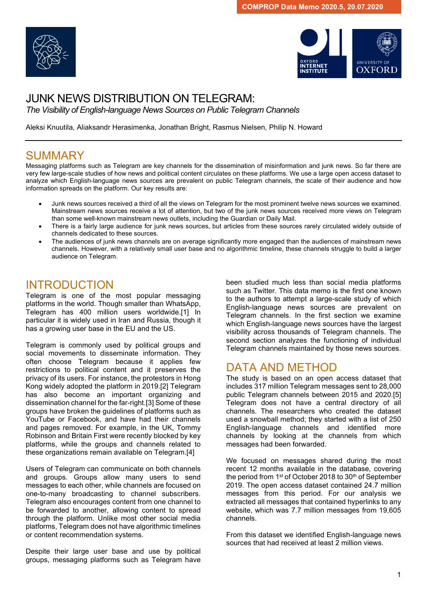



# JUNK NEWS DISTRIBUTION ON TELEGRAM:

*The Visibility of English-language News Sources on Public Telegram Channels*

Aleksi Knuutila, Aliaksandr Herasimenka, Jonathan Bright, Rasmus Nielsen, Philip N. Howard

# SUMMARY

Messaging platforms such as Telegram are key channels for the dissemination of misinformation and junk news. So far there are very few large-scale studies of how news and political content circulates on these platforms. We use a large open access dataset to analyze which English-language news sources are prevalent on public Telegram channels, the scale of their audience and how information spreads on the platform. Our key results are:

- Junk news sources received a third of all the views on Telegram for the most prominent twelve news sources we examined. Mainstream news sources receive a lot of attention, but two of the junk news sources received more views on Telegram than some well-known mainstream news outlets, including the Guardian or Daily Mail.
- There is a fairly large audience for junk news sources, but articles from these sources rarely circulated widely outside of channels dedicated to these sources.
- The audiences of junk news channels are on average significantly more engaged than the audiences of mainstream news channels. However, with a relatively small user base and no algorithmic timeline, these channels struggle to build a larger audience on Telegram.

# **INTRODUCTION**

Telegram is one of the most popular messaging platforms in the world. Though smaller than WhatsApp, Telegram has 400 million users worldwide.[1] In particular it is widely used in Iran and Russia, though it has a growing user base in the EU and the US.

Telegram is commonly used by political groups and social movements to disseminate information. They often choose Telegram because it applies few restrictions to political content and it preserves the privacy of its users. For instance, the protestors in Hong Kong widely adopted the platform in 2019.[2] Telegram has also become an important organizing and dissemination channel for the far-right.[3] Some of these groups have broken the guidelines of platforms such as YouTube or Facebook, and have had their channels and pages removed. For example, in the UK, Tommy Robinson and Britain First were recently blocked by key platforms, while the groups and channels related to these organizations remain available on Telegram.[4]

Users of Telegram can communicate on both channels and groups. Groups allow many users to send messages to each other, while channels are focused on one-to-many broadcasting to channel subscribers. Telegram also encourages content from one channel to be forwarded to another, allowing content to spread through the platform. Unlike most other social media platforms, Telegram does not have algorithmic timelines or content recommendation systems.

Despite their large user base and use by political groups, messaging platforms such as Telegram have

been studied much less than social media platforms such as Twitter. This data memo is the first one known to the authors to attempt a large-scale study of which English-language news sources are prevalent on Telegram channels. In the first section we examine which English-language news sources have the largest visibility across thousands of Telegram channels. The second section analyzes the functioning of individual Telegram channels maintained by those news sources.

# DATA AND METHOD

The study is based on an open access dataset that includes 317 million Telegram messages sent to 28,000 public Telegram channels between 2015 and 2020.[5] Telegram does not have a central directory of all channels. The researchers who created the dataset used a snowball method; they started with a list of 250 English-language channels and identified more channels by looking at the channels from which messages had been forwarded.

We focused on messages shared during the most recent 12 months available in the database, covering the period from  $1<sup>st</sup>$  of October 2018 to 30<sup>th</sup> of September 2019. The open access dataset contained 24.7 million messages from this period. For our analysis we extracted all messages that contained hyperlinks to any website, which was 7.7 million messages from 19,605 channels.

From this dataset we identified English-language news sources that had received at least 2 million views.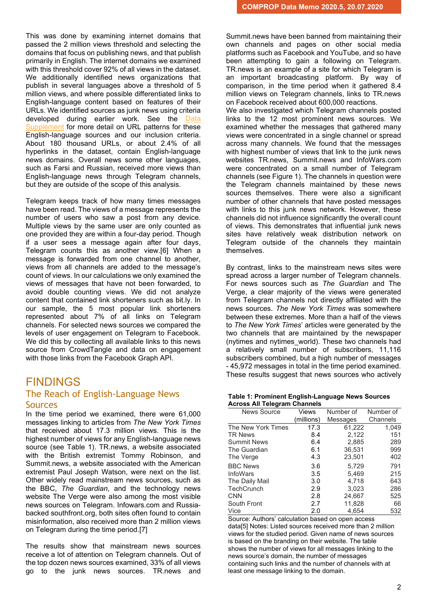This was done by examining internet domains that passed the 2 million views threshold and selecting the domains that focus on publishing news, and that publish primarily in English. The internet domains we examined with this threshold cover 92% of all views in the dataset. We additionally identified news organizations that publish in several languages above a threshold of 5 million views, and where possible differentiated links to English-language content based on features of their URLs. We identified sources as junk news using criteria developed during earlier work. See the [Data](https://comprop.oii.ox.ac.uk/wp-content/uploads/sites/93/2020/07/Data-Supplement.pdf)  [Supplement](https://comprop.oii.ox.ac.uk/wp-content/uploads/sites/93/2020/07/Data-Supplement.pdf) for more detail on URL patterns for these English-language sources and our inclusion criteria. About 180 thousand URLs, or about 2.4% of all hyperlinks in the dataset, contain English-language news domains. Overall news some other languages, such as Farsi and Russian, received more views than English-language news through Telegram channels, but they are outside of the scope of this analysis.

Telegram keeps track of how many times messages have been read. The views of a message represents the number of users who saw a post from any device. Multiple views by the same user are only counted as one provided they are within a four-day period. Though if a user sees a message again after four days, Telegram counts this as another view.[6] When a message is forwarded from one channel to another, views from all channels are added to the message's count of views. In our calculations we only examined the views of messages that have not been forwarded, to avoid double counting views. We did not analyze content that contained link shorteners such as bit.ly. In our sample, the 5 most popular link shorteners represented about 7% of all links on Telegram channels. For selected news sources we compared the levels of user engagement on Telegram to Facebook. We did this by collecting all available links to this news source from CrowdTangle and data on engagement with those links from the Facebook Graph API.

### FINDINGS The Reach of English-Language News **Sources**

In the time period we examined, there were 61,000 messages linking to articles from *The New York Times* that received about 17.3 million views. This is the highest number of views for any English-language news source (see Table 1). TR.news, a website associated with the British extremist Tommy Robinson, and Summit.news, a website associated with the American extremist Paul Joseph Watson, were next on the list. Other widely read mainstream news sources, such as the BBC, *The Guardian*, and the technology news website The Verge were also among the most visible news sources on Telegram. Infowars.com and Russiabacked southfront.org, both sites often found to contain misinformation, also received more than 2 million views on Telegram during the time period.[7]

The results show that mainstream news sources receive a lot of attention on Telegram channels. Out of the top dozen news sources examined, 33% of all views go to the junk news sources. TR.news and

Summit.news have been banned from maintaining their own channels and pages on other social media platforms such as Facebook and YouTube, and so have been attempting to gain a following on Telegram. TR.news is an example of a site for which Telegram is an important broadcasting platform. By way of comparison, in the time period when it gathered 8.4 million views on Telegram channels, links to TR.news on Facebook received about 600,000 reactions.

We also investigated which Telegram channels posted links to the 12 most prominent news sources. We examined whether the messages that gathered many views were concentrated in a single channel or spread across many channels. We found that the messages with highest number of views that link to the junk news websites TR.news, Summit.news and InfoWars.com were concentrated on a small number of Telegram channels (see Figure 1). The channels in question were the Telegram channels maintained by these news sources themselves. There were also a significant number of other channels that have posted messages with links to this junk news network. However, these channels did not influence significantly the overall count of views. This demonstrates that influential junk news sites have relatively weak distribution network on Telegram outside of the channels they maintain themselves.

By contrast, links to the mainstream news sites were spread across a larger number of Telegram channels. For news sources such as *The Guardian* and The Verge, a clear majority of the views were generated from Telegram channels not directly affiliated with the news sources. *The New York Times* was somewhere between these extremes. More than a half of the views to *The New York Times*' articles were generated by the two channels that are maintained by the newspaper (nytimes and nytimes\_world). These two channels had a relatively small number of subscribers, 11,116 subscribers combined, but a high number of messages - 45,972 messages in total in the time period examined. These results suggest that news sources who actively

#### **Table 1: Prominent English-Language News Sources Across All Telegram Channels**

| <b>News Source</b> | Views      | Number of | Number of |  |
|--------------------|------------|-----------|-----------|--|
|                    | (millions) | Messages  | Channels  |  |
| The New York Times | 17.3       | 61,222    | 1,049     |  |
| <b>TR News</b>     | 8.4        | 2,122     | 151       |  |
| <b>Summit News</b> | 6.4        | 2,885     | 289       |  |
| The Guardian       | 6.1        | 36,531    | 999       |  |
| The Verge          | 4.3        | 23,501    | 402       |  |
| <b>BBC News</b>    | 3.6        | 5.729     | 791       |  |
| <b>InfoWars</b>    | 3.5        | 5,469     | 215       |  |
| The Daily Mail     | 3.0        | 4.718     | 643       |  |
| <b>TechCrunch</b>  | 2.9        | 3,023     | 286       |  |
| <b>CNN</b>         | 2.8        | 24,667    | 525       |  |
| South Front        | 2.7        | 11,828    | 66        |  |
| Vice               | 2.0        | 4,654     | 532       |  |

Source: Authors' calculation based on open access data[5] Notes: Listed sources received more than 2 million views for the studied period. Given name of news sources is based on the branding on their website. The table shows the number of views for all messages linking to the news source's domain, the number of messages containing such links and the number of channels with at least one message linking to the domain.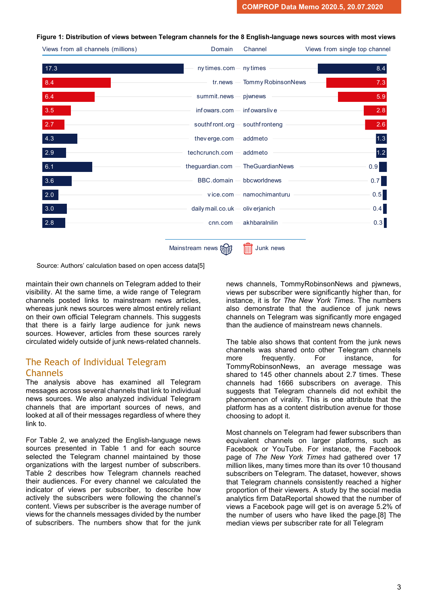#### **Figure 1: Distribution of views between Telegram channels for the 8 English-language news sources with most views**

| Views from all channels (millions) | Domain            | Channel                | Views from single top channel |
|------------------------------------|-------------------|------------------------|-------------------------------|
| 17.3                               | ny times.com      | ny times               | 8.4                           |
| 8.4                                | tr.news           | Tommy RobinsonNews     | 7.3                           |
| 6.4                                | summit.news       | pjwnews                | 5.9                           |
| 3.5                                | infowars.com      | infowarslive           | 2.8                           |
| 2.7                                | southf ront.org   | southf ronteng         | 2.6                           |
| 4.3                                | thev erge.com     | addmeto                | $1.3$                         |
| 2.9                                | techcrunch.com    | addmeto                | 1.2                           |
| 6.1                                | theguardian.com - | <b>TheGuardianNews</b> | 0.9                           |
| 3.6                                | BBC.domain        | bbcworldnews           | 0.7                           |
| 2.0                                | vice.com          | namochimanturu         | 0.5                           |
| 3.0                                | daily mail.co.uk  | oliv erjanich          | 0.4                           |
| 2.8                                | cnn.com           | akhbaralnilin          | 0.3                           |
|                                    |                   |                        |                               |
|                                    | Mainstream news   | 而<br>Junk news         |                               |

Source: Authors' calculation based on open access data[5]

maintain their own channels on Telegram added to their visibility. At the same time, a wide range of Telegram channels posted links to mainstream news articles, whereas junk news sources were almost entirely reliant on their own official Telegram channels. This suggests that there is a fairly large audience for junk news sources. However, articles from these sources rarely circulated widely outside of junk news-related channels.

### The Reach of Individual Telegram Channels

The analysis above has examined all Telegram messages across several channels that link to individual news sources. We also analyzed individual Telegram channels that are important sources of news, and looked at all of their messages regardless of where they link to.

For Table 2, we analyzed the English-language news sources presented in Table 1 and for each source selected the Telegram channel maintained by those organizations with the largest number of subscribers. Table 2 describes how Telegram channels reached their audiences. For every channel we calculated the indicator of views per subscriber, to describe how actively the subscribers were following the channel's content. Views per subscriber is the average number of views for the channels messages divided by the number of subscribers. The numbers show that for the junk news channels, TommyRobinsonNews and pjwnews, views per subscriber were significantly higher than, for instance, it is for *The New York Times*. The numbers also demonstrate that the audience of junk news channels on Telegram was significantly more engaged than the audience of mainstream news channels.

The table also shows that content from the junk news channels was shared onto other Telegram channels<br>more frequently. For instance, for more frequently. For instance, for TommyRobinsonNews, an average message was shared to 145 other channels about 2.7 times. These channels had 1666 subscribers on average. This suggests that Telegram channels did not exhibit the phenomenon of virality. This is one attribute that the platform has as a content distribution avenue for those choosing to adopt it.

Most channels on Telegram had fewer subscribers than equivalent channels on larger platforms, such as Facebook or YouTube. For instance, the Facebook page of *The New York Times* had gathered over 17 million likes, many times more than its over 10 thousand subscribers on Telegram. The dataset, however, shows that Telegram channels consistently reached a higher proportion of their viewers. A study by the social media analytics firm DataReportal showed that the number of views a Facebook page will get is on average 5.2% of the number of users who have liked the page.[8] The median views per subscriber rate for all Telegram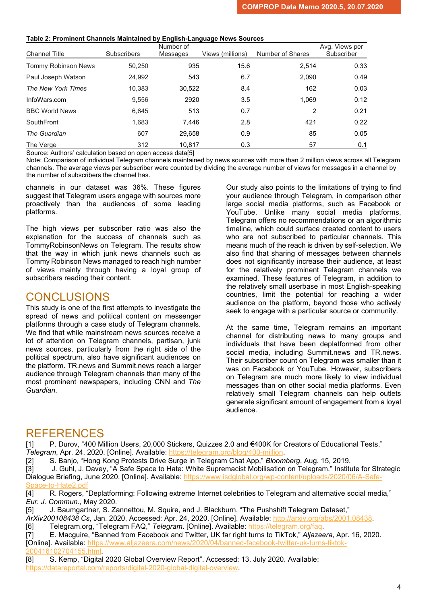### **Table 2: Prominent Channels Maintained by English-Language News Sources**

| <b>Channel Title</b>       | <b>Subscribers</b> | Number of<br>Messages | Views (millions) | Number of Shares | Avg. Views per<br>Subscriber |
|----------------------------|--------------------|-----------------------|------------------|------------------|------------------------------|
| <b>Tommy Robinson News</b> | 50,250             | 935                   | 15.6             | 2.514            | 0.33                         |
| Paul Joseph Watson         | 24,992             | 543                   | 6.7              | 2,090            | 0.49                         |
| The New York Times         | 10,383             | 30,522                | 8.4              | 162              | 0.03                         |
| InfoWars.com               | 9,556              | 2920                  | 3.5              | 1,069            | 0.12                         |
| <b>BBC World News</b>      | 6,645              | 513                   | 0.7              | 2                | 0.21                         |
| SouthFront                 | 1,683              | 7,446                 | 2.8              | 421              | 0.22                         |
| The Guardian               | 607                | 29,658                | 0.9              | 85               | 0.05                         |
| The Verge                  | 312                | 10.817                | 0.3              | 57               | 0.1                          |

Source: Authors' calculation based on open access data[5]

Note: Comparison of individual Telegram channels maintained by news sources with more than 2 million views across all Telegram channels. The average views per subscriber were counted by dividing the average number of views for messages in a channel by the number of subscribers the channel has.

channels in our dataset was 36%. These figures suggest that Telegram users engage with sources more proactively than the audiences of some leading platforms.

The high views per subscriber ratio was also the explanation for the success of channels such as TommyRobinsonNews on Telegram. The results show that the way in which junk news channels such as Tommy Robinson News managed to reach high number of views mainly through having a loyal group of subscribers reading their content.

## **CONCLUSIONS**

This study is one of the first attempts to investigate the spread of news and political content on messenger platforms through a case study of Telegram channels. We find that while mainstream news sources receive a lot of attention on Telegram channels, partisan, junk news sources, particularly from the right side of the political spectrum, also have significant audiences on the platform. TR.news and Summit.news reach a larger audience through Telegram channels than many of the most prominent newspapers, including CNN and *The Guardian*.

Our study also points to the limitations of trying to find your audience through Telegram, in comparison other large social media platforms, such as Facebook or YouTube. Unlike many social media platforms, Telegram offers no recommendations or an algorithmic timeline, which could surface created content to users who are not subscribed to particular channels. This means much of the reach is driven by self-selection. We also find that sharing of messages between channels does not significantly increase their audience, at least for the relatively prominent Telegram channels we examined. These features of Telegram, in addition to the relatively small userbase in most English-speaking countries, limit the potential for reaching a wider audience on the platform, beyond those who actively seek to engage with a particular source or community.

At the same time, Telegram remains an important channel for distributing news to many groups and individuals that have been deplatformed from other social media, including Summit.news and TR.news. Their subscriber count on Telegram was smaller than it was on Facebook or YouTube. However, subscribers on Telegram are much more likely to view individual messages than on other social media platforms. Even relatively small Telegram channels can help outlets generate significant amount of engagement from a loyal audience.

# **REFERENCES**

[1] P. Durov, "400 Million Users, 20,000 Stickers, Quizzes 2.0 and €400K for Creators of Educational Tests," *Telegram*, Apr. 24, 2020. [Online]. Available: [https://telegram.org/blog/400-million.](https://telegram.org/blog/400-million)

[2] S. Banjo, "Hong Kong Protests Drive Surge in Telegram Chat App," *Bloomberg*, Aug. 15, 2019.

[3] J. Guhl, J. Davey, "A Safe Space to Hate: White Supremacist Mobilisation on Telegram." Institute for Strategic Dialogue Briefing, June 2020. [Online]. Available: [https://www.isdglobal.org/wp-content/uploads/2020/06/A-Safe-](https://www.isdglobal.org/wp-content/uploads/2020/06/A-Safe-Space-to-Hate2.pdf)[Space-to-Hate2.pdf](https://www.isdglobal.org/wp-content/uploads/2020/06/A-Safe-Space-to-Hate2.pdf)

[4] R. Rogers, "Deplatforming: Following extreme Internet celebrities to Telegram and alternative social media," *Eur. J. Commun.*, May 2020.

[5] J. Baumgartner, S. Zannettou, M. Squire, and J. Blackburn, "The Pushshift Telegram Dataset," *ArXiv200108438 Cs*, Jan. 2020, Accessed: Apr. 24, 2020. [Online]. Available: [http://arxiv.org/abs/2001.08438.](http://arxiv.org/abs/2001.08438)

[6] Telegram.org, "Telegram FAQ," *Telegram*. [Online]. Available: [https://telegram.org/faq.](https://telegram.org/faq)

[7] E. Macguire, "Banned from Facebook and Twitter, UK far right turns to TikTok," *Aljazeera*, Apr. 16, 2020. [Online]. Available: [https://www.aljazeera.com/news/2020/04/banned-facebook-twitter-uk-turns-tiktok-](https://www.aljazeera.com/news/2020/04/banned-facebook-twitter-uk-turns-tiktok-200416102704155.html)[200416102704155.html.](https://www.aljazeera.com/news/2020/04/banned-facebook-twitter-uk-turns-tiktok-200416102704155.html)

[8] S. Kemp, "Digital 2020 Global Overview Report". Accessed: 13. July 2020. Available: [https://datareportal.com/reports/digital-2020-global-digital-overview.](https://datareportal.com/reports/digital-2020-global-digital-overview)